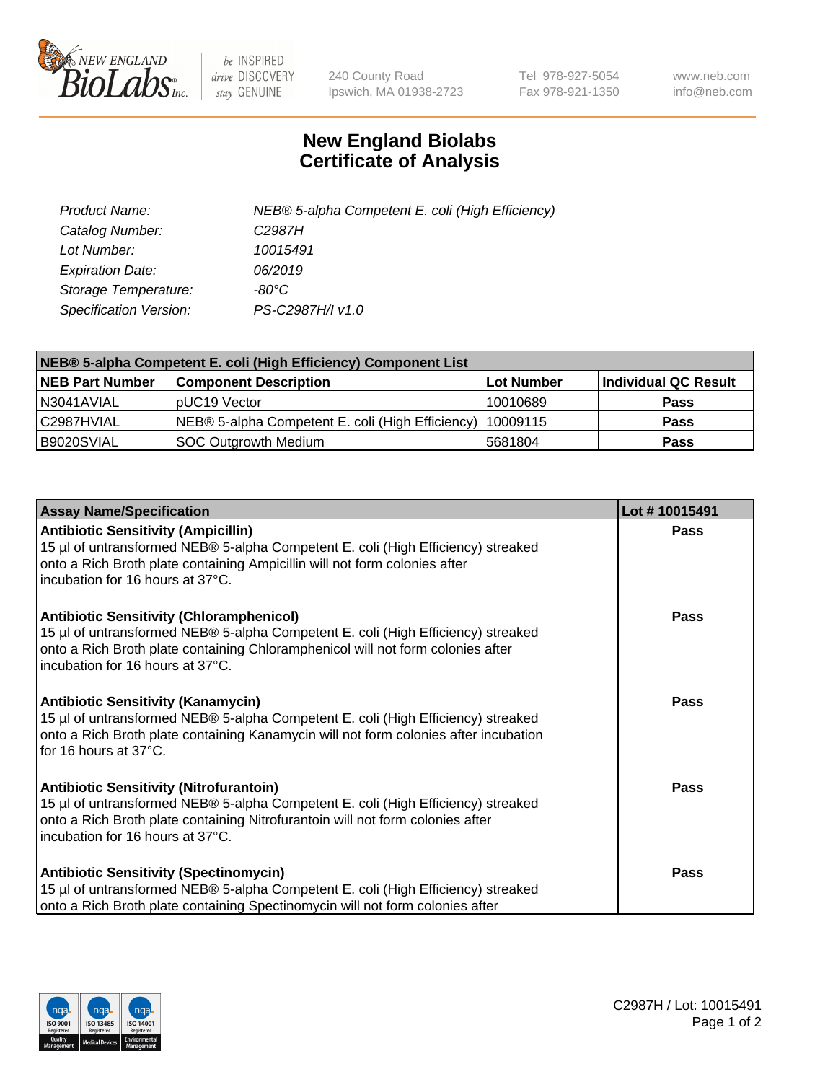

 $be$  INSPIRED drive DISCOVERY stay GENUINE

240 County Road Ipswich, MA 01938-2723 Tel 978-927-5054 Fax 978-921-1350 www.neb.com info@neb.com

## **New England Biolabs Certificate of Analysis**

| Product Name:           | NEB® 5-alpha Competent E. coli (High Efficiency) |
|-------------------------|--------------------------------------------------|
| Catalog Number:         | C <sub>2987</sub> H                              |
| Lot Number:             | 10015491                                         |
| <b>Expiration Date:</b> | 06/2019                                          |
| Storage Temperature:    | -80°C                                            |
| Specification Version:  | PS-C2987H/I v1.0                                 |

| NEB® 5-alpha Competent E. coli (High Efficiency) Component List |                                                             |                   |                      |  |
|-----------------------------------------------------------------|-------------------------------------------------------------|-------------------|----------------------|--|
| <b>NEB Part Number</b>                                          | <b>Component Description</b>                                | <b>Lot Number</b> | Individual QC Result |  |
| N3041AVIAL                                                      | pUC19 Vector                                                | 10010689          | <b>Pass</b>          |  |
| C2987HVIAL                                                      | NEB® 5-alpha Competent E. coli (High Efficiency)   10009115 |                   | <b>Pass</b>          |  |
| B9020SVIAL                                                      | <b>SOC Outgrowth Medium</b>                                 | 5681804           | <b>Pass</b>          |  |

| <b>Assay Name/Specification</b>                                                                                                                                                                                                                            | Lot #10015491 |
|------------------------------------------------------------------------------------------------------------------------------------------------------------------------------------------------------------------------------------------------------------|---------------|
| <b>Antibiotic Sensitivity (Ampicillin)</b><br>15 µl of untransformed NEB® 5-alpha Competent E. coli (High Efficiency) streaked<br>onto a Rich Broth plate containing Ampicillin will not form colonies after<br>incubation for 16 hours at 37°C.           | Pass          |
| <b>Antibiotic Sensitivity (Chloramphenicol)</b><br>15 µl of untransformed NEB® 5-alpha Competent E. coli (High Efficiency) streaked<br>onto a Rich Broth plate containing Chloramphenicol will not form colonies after<br>incubation for 16 hours at 37°C. | Pass          |
| <b>Antibiotic Sensitivity (Kanamycin)</b><br>15 µl of untransformed NEB® 5-alpha Competent E. coli (High Efficiency) streaked<br>onto a Rich Broth plate containing Kanamycin will not form colonies after incubation<br>for 16 hours at 37°C.             | Pass          |
| <b>Antibiotic Sensitivity (Nitrofurantoin)</b><br>15 µl of untransformed NEB® 5-alpha Competent E. coli (High Efficiency) streaked<br>onto a Rich Broth plate containing Nitrofurantoin will not form colonies after<br>incubation for 16 hours at 37°C.   | <b>Pass</b>   |
| <b>Antibiotic Sensitivity (Spectinomycin)</b><br>15 µl of untransformed NEB® 5-alpha Competent E. coli (High Efficiency) streaked<br>onto a Rich Broth plate containing Spectinomycin will not form colonies after                                         | Pass          |